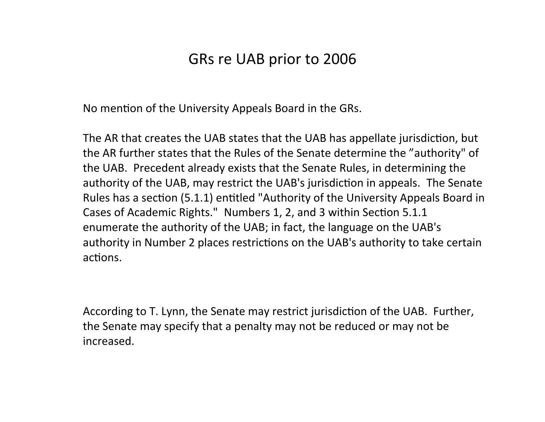## GRs
re
UAB
prior
to
2006

No mention of the University Appeals Board in the GRs.

The AR that creates the UAB states that the UAB has appellate jurisdiction, but the
AR
further
states
that
the
Rules
of
the
Senate
determine
the
"authority"
of the
UAB. Precedent
already
exists
that
the
Senate
Rules,
in
determining
the authority of the UAB, may restrict the UAB's jurisdiction in appeals. The Senate Rules has a section (5.1.1) entitled "Authority of the University Appeals Board in Cases of Academic Rights." Numbers 1, 2, and 3 within Section 5.1.1 enumerate the authority of the UAB; in fact, the language on the UAB's authority in Number 2 places restrictions on the UAB's authority to take certain actions.

According to T. Lynn, the Senate may restrict jurisdiction of the UAB. Further, the
Senate may
specify
that
a
penalty
may
not
be
reduced
or
may
not
be increased.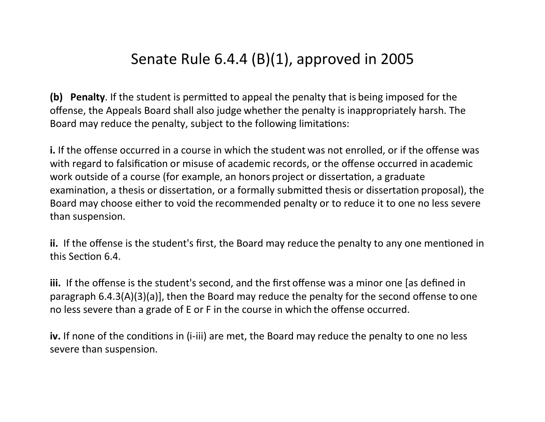## Senate
Rule
6.4.4
(B)(1),
approved
in
2005

(b) Penalty. If the student is permitted to appeal the penalty that is being imposed for the offense,
the
Appeals
Board
shall
also
judge
whether
the
penalty
is
inappropriately
harsh.
The Board may reduce the penalty, subject to the following limitations:

i. If the offense occurred in a course in which the student was not enrolled, or if the offense was with regard to falsification or misuse of academic records, or the offense occurred in academic work outside of a course (for example, an honors project or dissertation, a graduate examination, a thesis or dissertation, or a formally submitted thesis or dissertation proposal), the Board may choose either to void the recommended penalty or to reduce it to one no less severe than
suspension.

i. If the offense is the student's first, the Board may reduce the penalty to any one mentioned in this Section 6.4.

iii. If the offense is the student's second, and the first offense was a minor one [as defined in paragraph
6.4.3(A)(3)(a)],
then
the
Board
may
reduce
the
penalty
for
the
second
offense
to
one no
less
severe
than
a
grade
of
E
or
F
in
the
course
in
which
the
offense
occurred.

iv. If none of the conditions in (i-iii) are met, the Board may reduce the penalty to one no less severe
than
suspension.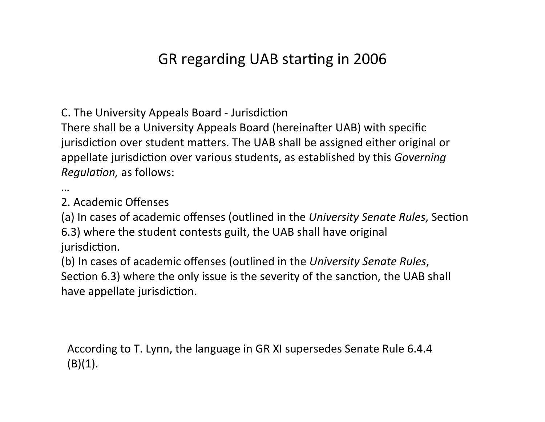## GR regarding UAB starting in 2006

C. The University Appeals Board - Jurisdiction

There shall be a University Appeals Board (hereinafter UAB) with specific jurisdiction over student matters. The UAB shall be assigned either original or appellate jurisdiction over various students, as established by this *Governing Regulation,* as follows:

…

2.
Academic
Offenses

(a) In cases of academic offenses (outlined in the University Senate Rules, Section 6.3)
where
the
student
contests
guilt,
the
UAB
shall
have
original jurisdiction.

(b)
In
cases
of
academic
offenses
(outlined
in
the *University
Senate
Rules*, Section 6.3) where the only issue is the severity of the sanction, the UAB shall have appellate jurisdiction.

According
to
T.
Lynn,
the
language
in
GR
XI
supersedes
Senate
Rule
6.4.4  $(B)(1)$ .